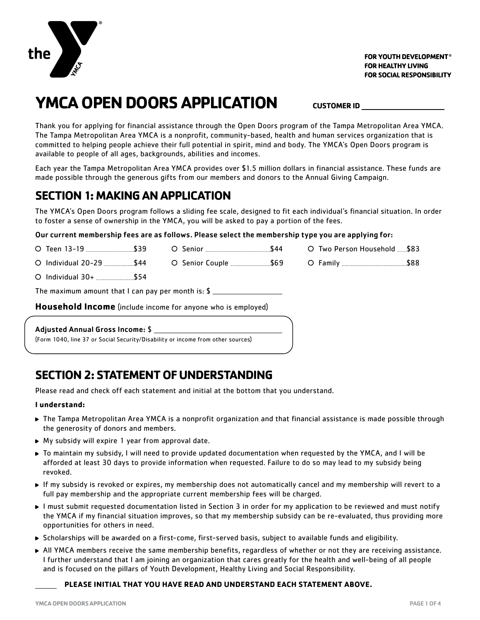

# **YMCA OPEN DOORS APPLICATION CUSTOMER ID**

Thank you for applying for financial assistance through the Open Doors program of the Tampa Metropolitan Area YMCA. The Tampa Metropolitan Area YMCA is a nonprofit, community-based, health and human services organization that is committed to helping people achieve their full potential in spirit, mind and body. The YMCA's Open Doors program is available to people of all ages, backgrounds, abilities and incomes.

Each year the Tampa Metropolitan Area YMCA provides over \$1.5 million dollars in financial assistance. These funds are made possible through the generous gifts from our members and donors to the Annual Giving Campaign.

### **SECTION 1: MAKING AN APPLICATION**

The YMCA's Open Doors program follows a sliding fee scale, designed to fit each individual's financial situation. In order to foster a sense of ownership in the YMCA, you will be asked to pay a portion of the fees.

#### Our current membership fees are as follows. Please select the membership type you are applying for:

| <b>Adjusted Annual Gross Income: \$</b>                      |  |  |  |                             |  |  |  |
|--------------------------------------------------------------|--|--|--|-----------------------------|--|--|--|
| Household Income (include income for anyone who is employed) |  |  |  |                             |  |  |  |
|                                                              |  |  |  |                             |  |  |  |
|                                                              |  |  |  |                             |  |  |  |
|                                                              |  |  |  |                             |  |  |  |
|                                                              |  |  |  | ○ Two Person Household \$83 |  |  |  |

(Form 1040, line 37 or Social Security/Disability or income from other sources)

### **SECTION 2: STATEMENT OF UNDERSTANDING**

Please read and check off each statement and initial at the bottom that you understand.

#### **I understand:**

- The Tampa Metropolitan Area YMCA is a nonprofit organization and that financial assistance is made possible through the generosity of donors and members.
- ▶ My subsidy will expire 1 year from approval date.
- To maintain my subsidy, I will need to provide updated documentation when requested by the YMCA, and I will be afforded at least 30 days to provide information when requested. Failure to do so may lead to my subsidy being revoked.
- If my subsidy is revoked or expires, my membership does not automatically cancel and my membership will revert to a full pay membership and the appropriate current membership fees will be charged.
- I must submit requested documentation listed in Section 3 in order for my application to be reviewed and must notify the YMCA if my financial situation improves, so that my membership subsidy can be re-evaluated, thus providing more opportunities for others in need.
- Scholarships will be awarded on a first-come, first-served basis, subject to available funds and eligibility.
- All YMCA members receive the same membership benefits, regardless of whether or not they are receiving assistance. I further understand that I am joining an organization that cares greatly for the health and well-being of all people and is focused on the pillars of Youth Development, Healthy Living and Social Responsibility.

#### **PLEASE INITIAL THAT YOU HAVE READ AND UNDERSTAND EACH STATEMENT ABOVE.**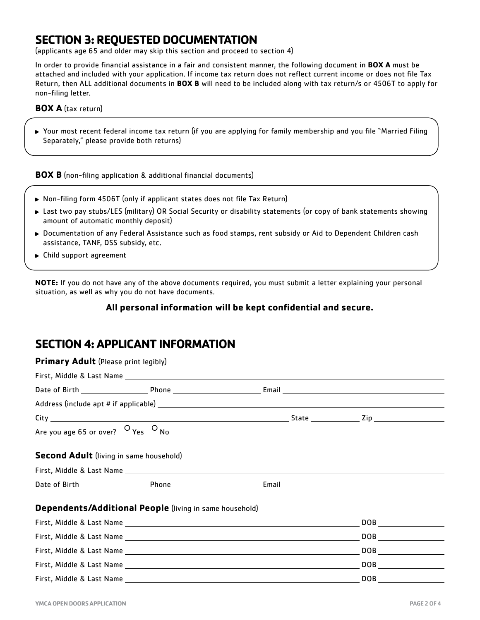## **SECTION 3: REQUESTED DOCUMENTATION**

(applicants age 65 and older may skip this section and proceed to section 4)

In order to provide financial assistance in a fair and consistent manner, the following document in **BOX A** must be attached and included with your application. If income tax return does not reflect current income or does not file Tax Return, then ALL additional documents in **BOX B** will need to be included along with tax return/s or 4506T to apply for non-filing letter.

#### **BOX A** (tax return)

Your most recent federal income tax return (if you are applying for family membership and you file "Married Filing Separately," please provide both returns)

**BOX B** (non-filing application & additional financial documents)

- ▶ Non-filing form 4506T (only if applicant states does not file Tax Return)
- Last two pay stubs/LES (military) OR Social Security or disability statements (or copy of bank statements showing amount of automatic monthly deposit)
- Documentation of any Federal Assistance such as food stamps, rent subsidy or Aid to Dependent Children cash assistance, TANF, DSS subsidy, etc.
- ▶ Child support agreement

**NOTE:** If you do not have any of the above documents required, you must submit a letter explaining your personal situation, as well as why you do not have documents.

#### **All personal information will be kept confidential and secure.**

### **SECTION 4: APPLICANT INFORMATION**

| <b>Primary Adult</b> (Please print legibly)             |  |
|---------------------------------------------------------|--|
|                                                         |  |
|                                                         |  |
|                                                         |  |
|                                                         |  |
| Are you age 65 or over? $\circ$ Yes $\circ$ No          |  |
| <b>Second Adult</b> (living in same household)          |  |
|                                                         |  |
|                                                         |  |
| Dependents/Additional People (living in same household) |  |
|                                                         |  |
|                                                         |  |
|                                                         |  |
|                                                         |  |
|                                                         |  |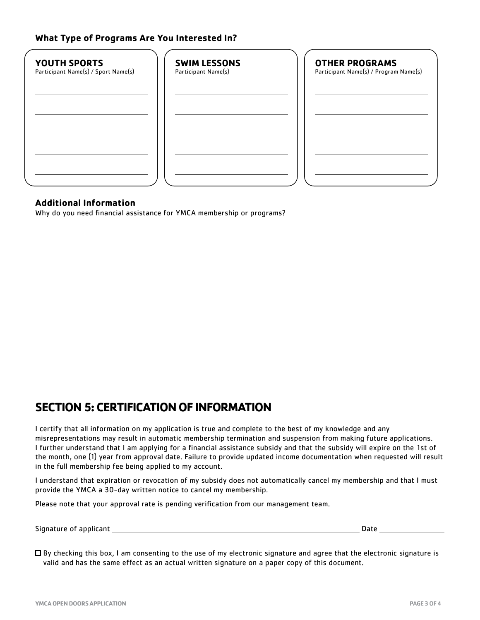### **What Type of Programs Are You Interested In?**

| <b>SWIM LESSONS</b><br>Participant Name(s) | <b>OTHER PROGRAMS</b><br>Participant Name(s) / Program Name(s) |
|--------------------------------------------|----------------------------------------------------------------|
|                                            |                                                                |
|                                            |                                                                |
|                                            |                                                                |
|                                            |                                                                |

#### **Additional Information**

Why do you need financial assistance for YMCA membership or programs?

### **SECTION 5: CERTIFICATION OF INFORMATION**

I certify that all information on my application is true and complete to the best of my knowledge and any misrepresentations may result in automatic membership termination and suspension from making future applications. I further understand that I am applying for a financial assistance subsidy and that the subsidy will expire on the 1st of the month, one (1) year from approval date. Failure to provide updated income documentation when requested will result in the full membership fee being applied to my account.

I understand that expiration or revocation of my subsidy does not automatically cancel my membership and that I must provide the YMCA a 30-day written notice to cancel my membership.

Please note that your approval rate is pending verification from our management team.

Signature of applicant Date

 $\Box$  By checking this box, I am consenting to the use of my electronic signature and agree that the electronic signature is valid and has the same effect as an actual written signature on a paper copy of this document.